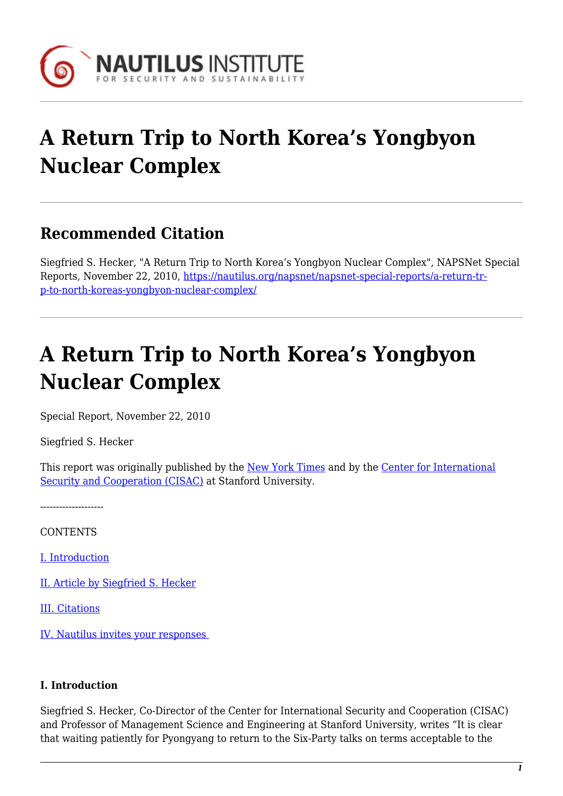

# **A Return Trip to North Korea's Yongbyon Nuclear Complex**

# **Recommended Citation**

Siegfried S. Hecker, "A Return Trip to North Korea's Yongbyon Nuclear Complex", NAPSNet Special Reports, November 22, 2010, [https://nautilus.org/napsnet/napsnet-special-reports/a-return-tr](https://nautilus.org/napsnet/napsnet-special-reports/a-return-trip-to-north-koreas-yongbyon-nuclear-complex/)[p-to-north-koreas-yongbyon-nuclear-complex/](https://nautilus.org/napsnet/napsnet-special-reports/a-return-trip-to-north-koreas-yongbyon-nuclear-complex/)

# **A Return Trip to North Korea's Yongbyon Nuclear Complex**

Special Report, November 22, 2010

Siegfried S. Hecker

This report was originally published by the [New York Times](http://graphics8.nytimes.com/packages/pdf/world/2010/North_Korea_Report.pdf) and by the [Center for International](http://cisac.stanford.edu/publications/north_koreas_yongbyon_nuclear_complex_a_report_by_siegfried_s_hecker/) [Security and Cooperation \(CISAC\)](http://cisac.stanford.edu/publications/north_koreas_yongbyon_nuclear_complex_a_report_by_siegfried_s_hecker/) at Stanford University.

--------------------

**CONTENTS** 

[I. Introduction](#page-0-0)

[II. Article by Siegfried S. Hecker](#page-1-0)

[III. Citations](#page-7-0)

[IV. Nautilus invites your responses](#page-8-0) 

## <span id="page-0-0"></span>**I. Introduction**

Siegfried S. Hecker, Co-Director of the Center for International Security and Cooperation (CISAC) and Professor of Management Science and Engineering at Stanford University, writes "It is clear that waiting patiently for Pyongyang to return to the Six-Party talks on terms acceptable to the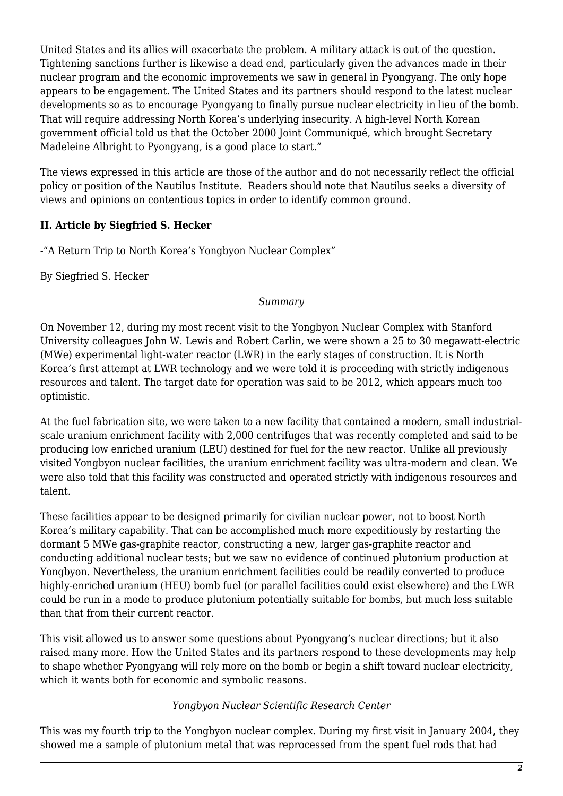United States and its allies will exacerbate the problem. A military attack is out of the question. Tightening sanctions further is likewise a dead end, particularly given the advances made in their nuclear program and the economic improvements we saw in general in Pyongyang. The only hope appears to be engagement. The United States and its partners should respond to the latest nuclear developments so as to encourage Pyongyang to finally pursue nuclear electricity in lieu of the bomb. That will require addressing North Korea's underlying insecurity. A high-level North Korean government official told us that the October 2000 Joint Communiqué, which brought Secretary Madeleine Albright to Pyongyang, is a good place to start."

The views expressed in this article are those of the author and do not necessarily reflect the official policy or position of the Nautilus Institute. Readers should note that Nautilus seeks a diversity of views and opinions on contentious topics in order to identify common ground.

# <span id="page-1-0"></span>**II. Article by Siegfried S. Hecker**

-"A Return Trip to North Korea's Yongbyon Nuclear Complex"

By Siegfried S. Hecker

#### *Summary*

On November 12, during my most recent visit to the Yongbyon Nuclear Complex with Stanford University colleagues John W. Lewis and Robert Carlin, we were shown a 25 to 30 megawatt-electric (MWe) experimental light-water reactor (LWR) in the early stages of construction. It is North Korea's first attempt at LWR technology and we were told it is proceeding with strictly indigenous resources and talent. The target date for operation was said to be 2012, which appears much too optimistic.

At the fuel fabrication site, we were taken to a new facility that contained a modern, small industrialscale uranium enrichment facility with 2,000 centrifuges that was recently completed and said to be producing low enriched uranium (LEU) destined for fuel for the new reactor. Unlike all previously visited Yongbyon nuclear facilities, the uranium enrichment facility was ultra-modern and clean. We were also told that this facility was constructed and operated strictly with indigenous resources and talent.

These facilities appear to be designed primarily for civilian nuclear power, not to boost North Korea's military capability. That can be accomplished much more expeditiously by restarting the dormant 5 MWe gas-graphite reactor, constructing a new, larger gas-graphite reactor and conducting additional nuclear tests; but we saw no evidence of continued plutonium production at Yongbyon. Nevertheless, the uranium enrichment facilities could be readily converted to produce highly-enriched uranium (HEU) bomb fuel (or parallel facilities could exist elsewhere) and the LWR could be run in a mode to produce plutonium potentially suitable for bombs, but much less suitable than that from their current reactor.

This visit allowed us to answer some questions about Pyongyang's nuclear directions; but it also raised many more. How the United States and its partners respond to these developments may help to shape whether Pyongyang will rely more on the bomb or begin a shift toward nuclear electricity, which it wants both for economic and symbolic reasons.

#### *Yongbyon Nuclear Scientific Research Center*

This was my fourth trip to the Yongbyon nuclear complex. During my first visit in January 2004, they showed me a sample of plutonium metal that was reprocessed from the spent fuel rods that had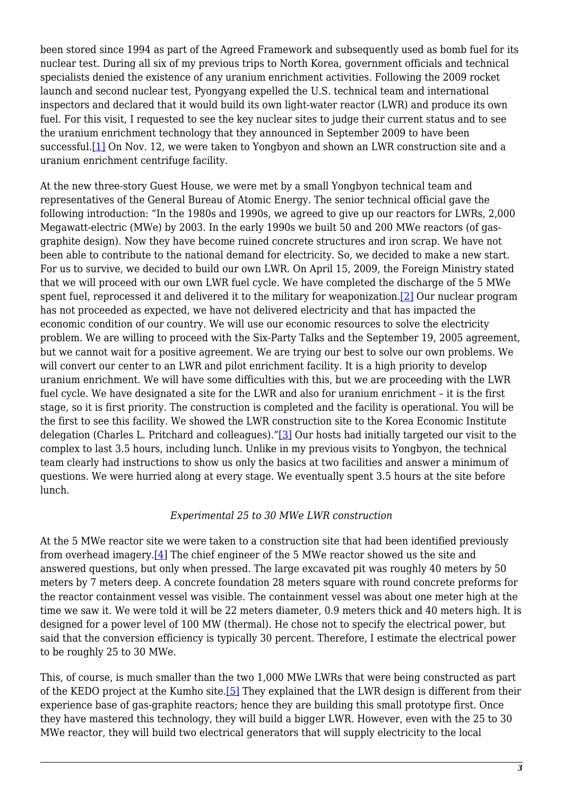been stored since 1994 as part of the Agreed Framework and subsequently used as bomb fuel for its nuclear test. During all six of my previous trips to North Korea, government officials and technical specialists denied the existence of any uranium enrichment activities. Following the 2009 rocket launch and second nuclear test, Pyongyang expelled the U.S. technical team and international inspectors and declared that it would build its own light-water reactor (LWR) and produce its own fuel. For this visit, I requested to see the key nuclear sites to judge their current status and to see the uranium enrichment technology that they announced in September 2009 to have been successful.<sup>[1]</sup> On Nov. 12, we were taken to Yongbyon and shown an LWR construction site and a uranium enrichment centrifuge facility.

At the new three-story Guest House, we were met by a small Yongbyon technical team and representatives of the General Bureau of Atomic Energy. The senior technical official gave the following introduction: "In the 1980s and 1990s, we agreed to give up our reactors for LWRs, 2,000 Megawatt-electric (MWe) by 2003. In the early 1990s we built 50 and 200 MWe reactors (of gasgraphite design). Now they have become ruined concrete structures and iron scrap. We have not been able to contribute to the national demand for electricity. So, we decided to make a new start. For us to survive, we decided to build our own LWR. On April 15, 2009, the Foreign Ministry stated that we will proceed with our own LWR fuel cycle. We have completed the discharge of the 5 MWe spent fuel, reprocessed it and delivered it to the military for weaponization[.\[2\]](#page-7-2) Our nuclear program has not proceeded as expected, we have not delivered electricity and that has impacted the economic condition of our country. We will use our economic resources to solve the electricity problem. We are willing to proceed with the Six-Party Talks and the September 19, 2005 agreement, but we cannot wait for a positive agreement. We are trying our best to solve our own problems. We will convert our center to an LWR and pilot enrichment facility. It is a high priority to develop uranium enrichment. We will have some difficulties with this, but we are proceeding with the LWR fuel cycle. We have designated a site for the LWR and also for uranium enrichment – it is the first stage, so it is first priority. The construction is completed and the facility is operational. You will be the first to see this facility. We showed the LWR construction site to the Korea Economic Institute delegation (Charles L. Pritchard and colleagues)."[\[3\]](#page-7-3) Our hosts had initially targeted our visit to the complex to last 3.5 hours, including lunch. Unlike in my previous visits to Yongbyon, the technical team clearly had instructions to show us only the basics at two facilities and answer a minimum of questions. We were hurried along at every stage. We eventually spent 3.5 hours at the site before lunch.

#### *Experimental 25 to 30 MWe LWR construction*

At the 5 MWe reactor site we were taken to a construction site that had been identified previously from overhead imagery. $[4]$  The chief engineer of the 5 MWe reactor showed us the site and answered questions, but only when pressed. The large excavated pit was roughly 40 meters by 50 meters by 7 meters deep. A concrete foundation 28 meters square with round concrete preforms for the reactor containment vessel was visible. The containment vessel was about one meter high at the time we saw it. We were told it will be 22 meters diameter, 0.9 meters thick and 40 meters high. It is designed for a power level of 100 MW (thermal). He chose not to specify the electrical power, but said that the conversion efficiency is typically 30 percent. Therefore, I estimate the electrical power to be roughly 25 to 30 MWe.

This, of course, is much smaller than the two 1,000 MWe LWRs that were being constructed as part of the KEDO project at the Kumho site[.\[5\]](#page-7-5) They explained that the LWR design is different from their experience base of gas-graphite reactors; hence they are building this small prototype first. Once they have mastered this technology, they will build a bigger LWR. However, even with the 25 to 30 MWe reactor, they will build two electrical generators that will supply electricity to the local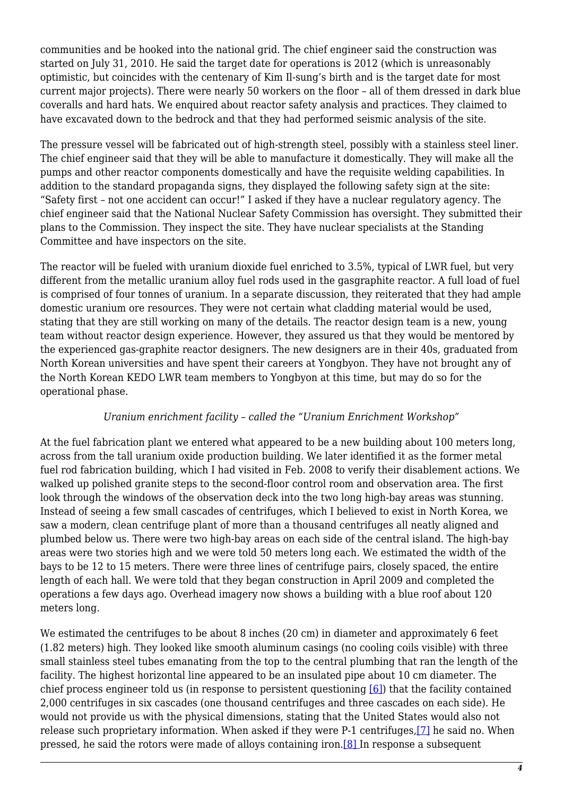communities and be hooked into the national grid. The chief engineer said the construction was started on July 31, 2010. He said the target date for operations is 2012 (which is unreasonably optimistic, but coincides with the centenary of Kim Il-sung's birth and is the target date for most current major projects). There were nearly 50 workers on the floor – all of them dressed in dark blue coveralls and hard hats. We enquired about reactor safety analysis and practices. They claimed to have excavated down to the bedrock and that they had performed seismic analysis of the site.

The pressure vessel will be fabricated out of high-strength steel, possibly with a stainless steel liner. The chief engineer said that they will be able to manufacture it domestically. They will make all the pumps and other reactor components domestically and have the requisite welding capabilities. In addition to the standard propaganda signs, they displayed the following safety sign at the site: "Safety first – not one accident can occur!" I asked if they have a nuclear regulatory agency. The chief engineer said that the National Nuclear Safety Commission has oversight. They submitted their plans to the Commission. They inspect the site. They have nuclear specialists at the Standing Committee and have inspectors on the site.

The reactor will be fueled with uranium dioxide fuel enriched to 3.5%, typical of LWR fuel, but very different from the metallic uranium alloy fuel rods used in the gasgraphite reactor. A full load of fuel is comprised of four tonnes of uranium. In a separate discussion, they reiterated that they had ample domestic uranium ore resources. They were not certain what cladding material would be used, stating that they are still working on many of the details. The reactor design team is a new, young team without reactor design experience. However, they assured us that they would be mentored by the experienced gas-graphite reactor designers. The new designers are in their 40s, graduated from North Korean universities and have spent their careers at Yongbyon. They have not brought any of the North Korean KEDO LWR team members to Yongbyon at this time, but may do so for the operational phase.

## *Uranium enrichment facility – called the "Uranium Enrichment Workshop"*

At the fuel fabrication plant we entered what appeared to be a new building about 100 meters long, across from the tall uranium oxide production building. We later identified it as the former metal fuel rod fabrication building, which I had visited in Feb. 2008 to verify their disablement actions. We walked up polished granite steps to the second-floor control room and observation area. The first look through the windows of the observation deck into the two long high-bay areas was stunning. Instead of seeing a few small cascades of centrifuges, which I believed to exist in North Korea, we saw a modern, clean centrifuge plant of more than a thousand centrifuges all neatly aligned and plumbed below us. There were two high-bay areas on each side of the central island. The high-bay areas were two stories high and we were told 50 meters long each. We estimated the width of the bays to be 12 to 15 meters. There were three lines of centrifuge pairs, closely spaced, the entire length of each hall. We were told that they began construction in April 2009 and completed the operations a few days ago. Overhead imagery now shows a building with a blue roof about 120 meters long.

We estimated the centrifuges to be about 8 inches (20 cm) in diameter and approximately 6 feet (1.82 meters) high. They looked like smooth aluminum casings (no cooling coils visible) with three small stainless steel tubes emanating from the top to the central plumbing that ran the length of the facility. The highest horizontal line appeared to be an insulated pipe about 10 cm diameter. The chief process engineer told us (in response to persistent questioning [\[6\]\)](#page-7-6) that the facility contained 2,000 centrifuges in six cascades (one thousand centrifuges and three cascades on each side). He would not provide us with the physical dimensions, stating that the United States would also not release such proprietary information. When asked if they were P-1 centrifuges,[\[7\]](#page-7-7) he said no. When pressed, he said the rotors were made of alloys containing iron[.\[8\]](#page-7-8) In response a subsequent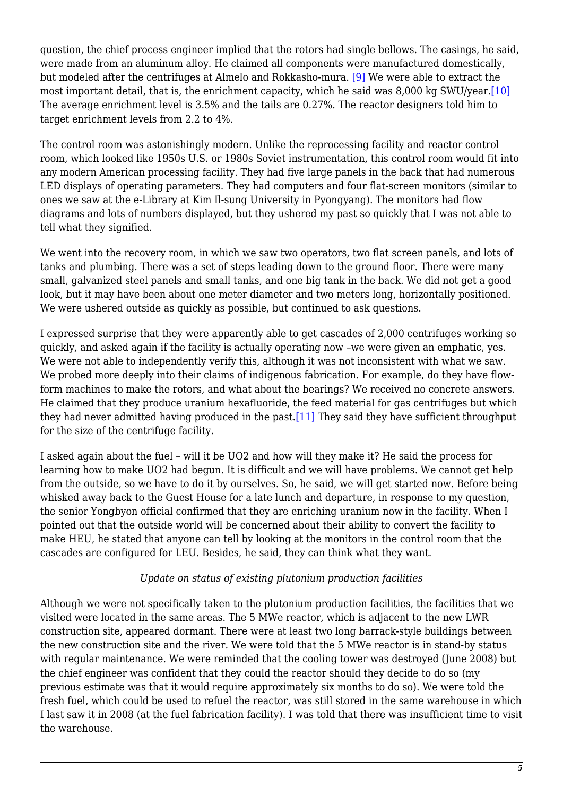question, the chief process engineer implied that the rotors had single bellows. The casings, he said, were made from an aluminum alloy. He claimed all components were manufactured domestically, but modeled after the centrifuges at Almelo and Rokkasho-mura[. \[9\]](#page-7-9) We were able to extract the most important detail, that is, the enrichment capacity, which he said was 8,000 kg SWU/year[.\[10\]](#page-7-10) The average enrichment level is 3.5% and the tails are 0.27%. The reactor designers told him to target enrichment levels from 2.2 to 4%.

The control room was astonishingly modern. Unlike the reprocessing facility and reactor control room, which looked like 1950s U.S. or 1980s Soviet instrumentation, this control room would fit into any modern American processing facility. They had five large panels in the back that had numerous LED displays of operating parameters. They had computers and four flat-screen monitors (similar to ones we saw at the e-Library at Kim Il-sung University in Pyongyang). The monitors had flow diagrams and lots of numbers displayed, but they ushered my past so quickly that I was not able to tell what they signified.

We went into the recovery room, in which we saw two operators, two flat screen panels, and lots of tanks and plumbing. There was a set of steps leading down to the ground floor. There were many small, galvanized steel panels and small tanks, and one big tank in the back. We did not get a good look, but it may have been about one meter diameter and two meters long, horizontally positioned. We were ushered outside as quickly as possible, but continued to ask questions.

I expressed surprise that they were apparently able to get cascades of 2,000 centrifuges working so quickly, and asked again if the facility is actually operating now –we were given an emphatic, yes. We were not able to independently verify this, although it was not inconsistent with what we saw. We probed more deeply into their claims of indigenous fabrication. For example, do they have flowform machines to make the rotors, and what about the bearings? We received no concrete answers. He claimed that they produce uranium hexafluoride, the feed material for gas centrifuges but which they had never admitted having produced in the past.<sup>[\[11\]](#page-7-11)</sup> They said they have sufficient throughput for the size of the centrifuge facility.

I asked again about the fuel – will it be UO2 and how will they make it? He said the process for learning how to make UO2 had begun. It is difficult and we will have problems. We cannot get help from the outside, so we have to do it by ourselves. So, he said, we will get started now. Before being whisked away back to the Guest House for a late lunch and departure, in response to my question, the senior Yongbyon official confirmed that they are enriching uranium now in the facility. When I pointed out that the outside world will be concerned about their ability to convert the facility to make HEU, he stated that anyone can tell by looking at the monitors in the control room that the cascades are configured for LEU. Besides, he said, they can think what they want.

## *Update on status of existing plutonium production facilities*

Although we were not specifically taken to the plutonium production facilities, the facilities that we visited were located in the same areas. The 5 MWe reactor, which is adjacent to the new LWR construction site, appeared dormant. There were at least two long barrack-style buildings between the new construction site and the river. We were told that the 5 MWe reactor is in stand-by status with regular maintenance. We were reminded that the cooling tower was destroyed (June 2008) but the chief engineer was confident that they could the reactor should they decide to do so (my previous estimate was that it would require approximately six months to do so). We were told the fresh fuel, which could be used to refuel the reactor, was still stored in the same warehouse in which I last saw it in 2008 (at the fuel fabrication facility). I was told that there was insufficient time to visit the warehouse.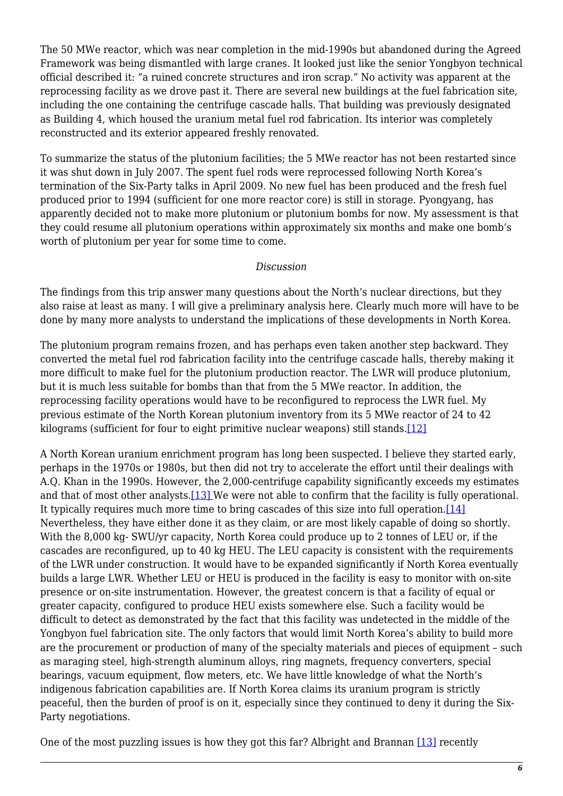The 50 MWe reactor, which was near completion in the mid-1990s but abandoned during the Agreed Framework was being dismantled with large cranes. It looked just like the senior Yongbyon technical official described it: "a ruined concrete structures and iron scrap." No activity was apparent at the reprocessing facility as we drove past it. There are several new buildings at the fuel fabrication site, including the one containing the centrifuge cascade halls. That building was previously designated as Building 4, which housed the uranium metal fuel rod fabrication. Its interior was completely reconstructed and its exterior appeared freshly renovated.

To summarize the status of the plutonium facilities; the 5 MWe reactor has not been restarted since it was shut down in July 2007. The spent fuel rods were reprocessed following North Korea's termination of the Six-Party talks in April 2009. No new fuel has been produced and the fresh fuel produced prior to 1994 (sufficient for one more reactor core) is still in storage. Pyongyang, has apparently decided not to make more plutonium or plutonium bombs for now. My assessment is that they could resume all plutonium operations within approximately six months and make one bomb's worth of plutonium per year for some time to come.

#### *Discussion*

The findings from this trip answer many questions about the North's nuclear directions, but they also raise at least as many. I will give a preliminary analysis here. Clearly much more will have to be done by many more analysts to understand the implications of these developments in North Korea.

The plutonium program remains frozen, and has perhaps even taken another step backward. They converted the metal fuel rod fabrication facility into the centrifuge cascade halls, thereby making it more difficult to make fuel for the plutonium production reactor. The LWR will produce plutonium, but it is much less suitable for bombs than that from the 5 MWe reactor. In addition, the reprocessing facility operations would have to be reconfigured to reprocess the LWR fuel. My previous estimate of the North Korean plutonium inventory from its 5 MWe reactor of 24 to 42 kilograms (sufficient for four to eight primitive nuclear weapons) still stands.[\[12\]](#page-7-12)

A North Korean uranium enrichment program has long been suspected. I believe they started early, perhaps in the 1970s or 1980s, but then did not try to accelerate the effort until their dealings with A.Q. Khan in the 1990s. However, the 2,000-centrifuge capability significantly exceeds my estimates and that of most other analysts[.\[13\] W](#page-7-13)e were not able to confirm that the facility is fully operational. It typically requires much more time to bring cascades of this size into full operation.[\[14\]](#page-8-1) Nevertheless, they have either done it as they claim, or are most likely capable of doing so shortly. With the 8,000 kg- SWU/yr capacity, North Korea could produce up to 2 tonnes of LEU or, if the cascades are reconfigured, up to 40 kg HEU. The LEU capacity is consistent with the requirements of the LWR under construction. It would have to be expanded significantly if North Korea eventually builds a large LWR. Whether LEU or HEU is produced in the facility is easy to monitor with on-site presence or on-site instrumentation. However, the greatest concern is that a facility of equal or greater capacity, configured to produce HEU exists somewhere else. Such a facility would be difficult to detect as demonstrated by the fact that this facility was undetected in the middle of the Yongbyon fuel fabrication site. The only factors that would limit North Korea's ability to build more are the procurement or production of many of the specialty materials and pieces of equipment – such as maraging steel, high-strength aluminum alloys, ring magnets, frequency converters, special bearings, vacuum equipment, flow meters, etc. We have little knowledge of what the North's indigenous fabrication capabilities are. If North Korea claims its uranium program is strictly peaceful, then the burden of proof is on it, especially since they continued to deny it during the Six-Party negotiations.

One of the most puzzling issues is how they got this far? Albright and Brannan [\[13\]](#page-7-13) recently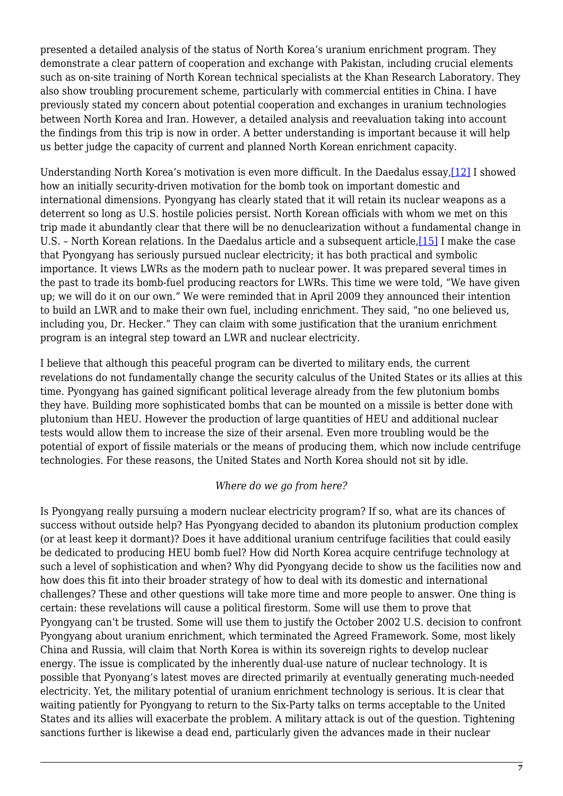presented a detailed analysis of the status of North Korea's uranium enrichment program. They demonstrate a clear pattern of cooperation and exchange with Pakistan, including crucial elements such as on-site training of North Korean technical specialists at the Khan Research Laboratory. They also show troubling procurement scheme, particularly with commercial entities in China. I have previously stated my concern about potential cooperation and exchanges in uranium technologies between North Korea and Iran. However, a detailed analysis and reevaluation taking into account the findings from this trip is now in order. A better understanding is important because it will help us better judge the capacity of current and planned North Korean enrichment capacity.

Understanding North Korea's motivation is even more difficult. In the Daedalus essay[,\[12\]](#page-7-12) I showed how an initially security-driven motivation for the bomb took on important domestic and international dimensions. Pyongyang has clearly stated that it will retain its nuclear weapons as a deterrent so long as U.S. hostile policies persist. North Korean officials with whom we met on this trip made it abundantly clear that there will be no denuclearization without a fundamental change in U.S. - North Korean relations. In the Daedalus article and a subsequent article,[\[15\]](#page-8-2) I make the case that Pyongyang has seriously pursued nuclear electricity; it has both practical and symbolic importance. It views LWRs as the modern path to nuclear power. It was prepared several times in the past to trade its bomb-fuel producing reactors for LWRs. This time we were told, "We have given up; we will do it on our own." We were reminded that in April 2009 they announced their intention to build an LWR and to make their own fuel, including enrichment. They said, "no one believed us, including you, Dr. Hecker." They can claim with some justification that the uranium enrichment program is an integral step toward an LWR and nuclear electricity.

I believe that although this peaceful program can be diverted to military ends, the current revelations do not fundamentally change the security calculus of the United States or its allies at this time. Pyongyang has gained significant political leverage already from the few plutonium bombs they have. Building more sophisticated bombs that can be mounted on a missile is better done with plutonium than HEU. However the production of large quantities of HEU and additional nuclear tests would allow them to increase the size of their arsenal. Even more troubling would be the potential of export of fissile materials or the means of producing them, which now include centrifuge technologies. For these reasons, the United States and North Korea should not sit by idle.

#### *Where do we go from here?*

Is Pyongyang really pursuing a modern nuclear electricity program? If so, what are its chances of success without outside help? Has Pyongyang decided to abandon its plutonium production complex (or at least keep it dormant)? Does it have additional uranium centrifuge facilities that could easily be dedicated to producing HEU bomb fuel? How did North Korea acquire centrifuge technology at such a level of sophistication and when? Why did Pyongyang decide to show us the facilities now and how does this fit into their broader strategy of how to deal with its domestic and international challenges? These and other questions will take more time and more people to answer. One thing is certain: these revelations will cause a political firestorm. Some will use them to prove that Pyongyang can't be trusted. Some will use them to justify the October 2002 U.S. decision to confront Pyongyang about uranium enrichment, which terminated the Agreed Framework. Some, most likely China and Russia, will claim that North Korea is within its sovereign rights to develop nuclear energy. The issue is complicated by the inherently dual-use nature of nuclear technology. It is possible that Pyonyang's latest moves are directed primarily at eventually generating much-needed electricity. Yet, the military potential of uranium enrichment technology is serious. It is clear that waiting patiently for Pyongyang to return to the Six-Party talks on terms acceptable to the United States and its allies will exacerbate the problem. A military attack is out of the question. Tightening sanctions further is likewise a dead end, particularly given the advances made in their nuclear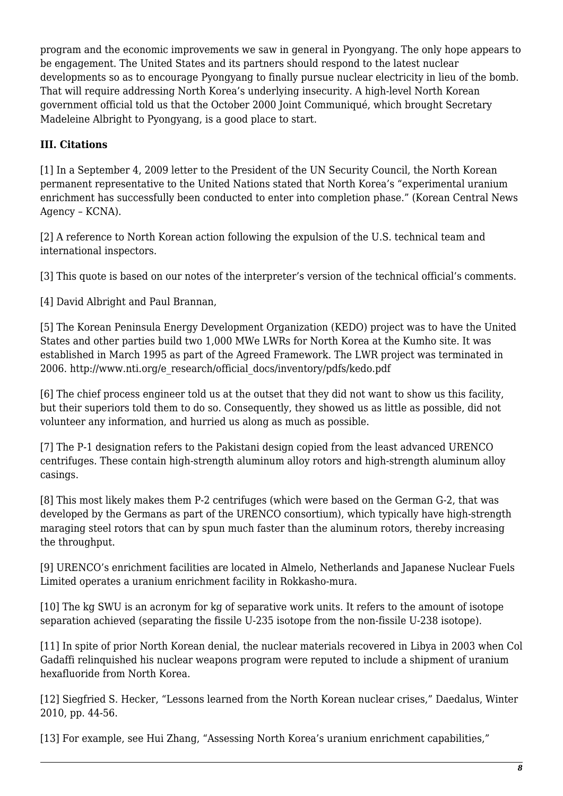program and the economic improvements we saw in general in Pyongyang. The only hope appears to be engagement. The United States and its partners should respond to the latest nuclear developments so as to encourage Pyongyang to finally pursue nuclear electricity in lieu of the bomb. That will require addressing North Korea's underlying insecurity. A high-level North Korean government official told us that the October 2000 Joint Communiqué, which brought Secretary Madeleine Albright to Pyongyang, is a good place to start.

# <span id="page-7-0"></span>**III. Citations**

<span id="page-7-1"></span>[1] In a September 4, 2009 letter to the President of the UN Security Council, the North Korean permanent representative to the United Nations stated that North Korea's "experimental uranium enrichment has successfully been conducted to enter into completion phase." (Korean Central News Agency – KCNA).

<span id="page-7-2"></span>[2] A reference to North Korean action following the expulsion of the U.S. technical team and international inspectors.

<span id="page-7-3"></span>[3] This quote is based on our notes of the interpreter's version of the technical official's comments.

<span id="page-7-4"></span>[4] David Albright and Paul Brannan,

<span id="page-7-5"></span>[5] The Korean Peninsula Energy Development Organization (KEDO) project was to have the United States and other parties build two 1,000 MWe LWRs for North Korea at the Kumho site. It was established in March 1995 as part of the Agreed Framework. The LWR project was terminated in 2006. http://www.nti.org/e\_research/official\_docs/inventory/pdfs/kedo.pdf

<span id="page-7-6"></span>[6] The chief process engineer told us at the outset that they did not want to show us this facility, but their superiors told them to do so. Consequently, they showed us as little as possible, did not volunteer any information, and hurried us along as much as possible.

<span id="page-7-7"></span>[7] The P-1 designation refers to the Pakistani design copied from the least advanced URENCO centrifuges. These contain high-strength aluminum alloy rotors and high-strength aluminum alloy casings.

<span id="page-7-8"></span>[8] This most likely makes them P-2 centrifuges (which were based on the German G-2, that was developed by the Germans as part of the URENCO consortium), which typically have high-strength maraging steel rotors that can by spun much faster than the aluminum rotors, thereby increasing the throughput.

<span id="page-7-9"></span>[9] URENCO's enrichment facilities are located in Almelo, Netherlands and Japanese Nuclear Fuels Limited operates a uranium enrichment facility in Rokkasho-mura.

<span id="page-7-10"></span>[10] The kg SWU is an acronym for kg of separative work units. It refers to the amount of isotope separation achieved (separating the fissile U-235 isotope from the non-fissile U-238 isotope).

<span id="page-7-11"></span>[11] In spite of prior North Korean denial, the nuclear materials recovered in Libya in 2003 when Col Gadaffi relinquished his nuclear weapons program were reputed to include a shipment of uranium hexafluoride from North Korea.

<span id="page-7-12"></span>[12] Siegfried S. Hecker, "Lessons learned from the North Korean nuclear crises," Daedalus, Winter 2010, pp. 44-56.

<span id="page-7-13"></span>[13] For example, see Hui Zhang, "Assessing North Korea's uranium enrichment capabilities,"